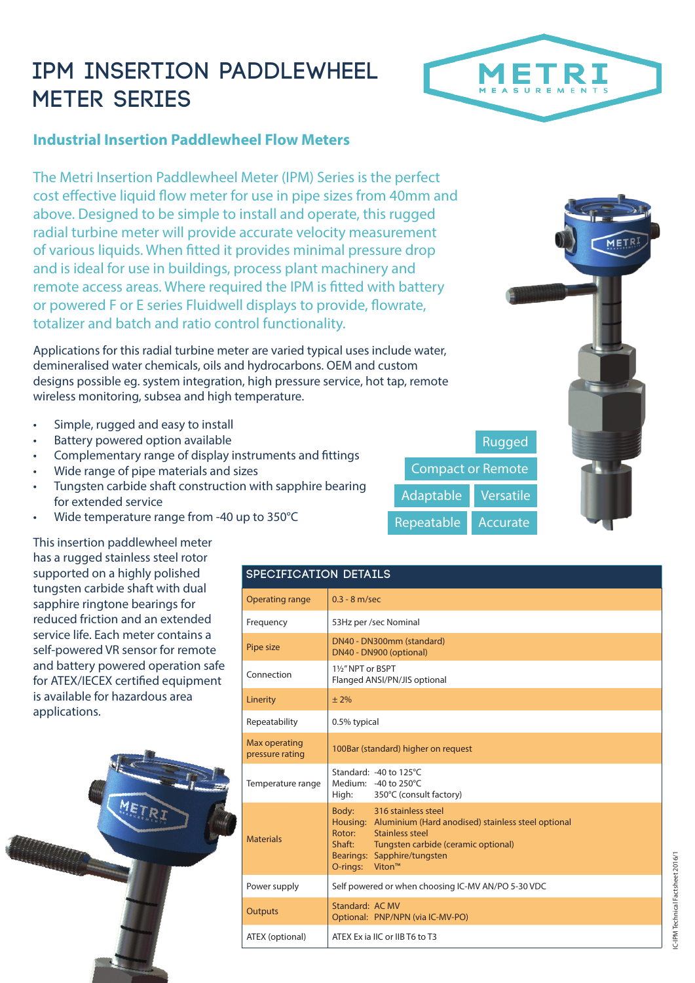## **IPM INSERTION PADDLEWHEEL METER SERIES**



## **Industrial Insertion Paddlewheel Flow Meters**

The Metri Insertion Paddlewheel Meter (IPM) Series is the perfect cost effective liquid flow meter for use in pipe sizes from 40mm and above. Designed to be simple to install and operate, this rugged radial turbine meter will provide accurate velocity measurement of various liquids. When fitted it provides minimal pressure drop and is ideal for use in buildings, process plant machinery and remote access areas. Where required the IPM is fitted with battery or powered F or E series Fluidwell displays to provide, flowrate, totalizer and batch and ratio control functionality.

Applications for this radial turbine meter are varied typical uses include water, demineralised water chemicals, oils and hydrocarbons. OEM and custom designs possible eg. system integration, high pressure service, hot tap, remote wireless monitoring, subsea and high temperature.

- Simple, rugged and easy to install
- Battery powered option available
- Complementary range of display instruments and fittings
- Wide range of pipe materials and sizes
- Tungsten carbide shaft construction with sapphire bearing for extended service
- Wide temperature range from -40 up to 350°C

This insertion paddlewheel meter has a rugged stainless steel rotor supported on a highly polished tungsten carbide shaft with dual sapphire ringtone bearings for reduced friction and an extended service life. Each meter contains a self-powered VR sensor for remote and battery powered operation safe for ATEX/IECEX certified equipment is available for hazardous area applications.



| SPECIFICATION DETAILS            |                                                                                                                                                                                                                                |  |  |  |  |
|----------------------------------|--------------------------------------------------------------------------------------------------------------------------------------------------------------------------------------------------------------------------------|--|--|--|--|
| <b>Operating range</b>           | $0.3 - 8$ m/sec                                                                                                                                                                                                                |  |  |  |  |
| Frequency                        | 53Hz per /sec Nominal                                                                                                                                                                                                          |  |  |  |  |
| Pipe size                        | DN40 - DN300mm (standard)<br>DN40 - DN900 (optional)                                                                                                                                                                           |  |  |  |  |
| Connection                       | 11/2" NPT or BSPT<br>Flanged ANSI/PN/JIS optional                                                                                                                                                                              |  |  |  |  |
| Linerity                         | ± 2%                                                                                                                                                                                                                           |  |  |  |  |
| Repeatability                    | 0.5% typical                                                                                                                                                                                                                   |  |  |  |  |
| Max operating<br>pressure rating | 100Bar (standard) higher on request                                                                                                                                                                                            |  |  |  |  |
| Temperature range                | Standard: -40 to 125°C<br>Medium: -40 to 250°C<br>High:<br>350°C (consult factory)                                                                                                                                             |  |  |  |  |
| <b>Materials</b>                 | 316 stainless steel<br>Body:<br>Housing: Aluminium (Hard anodised) stainless steel optional<br>Rotor:<br>Stainless steel<br>Shaft:<br>Tungsten carbide (ceramic optional)<br>Bearings: Sapphire/tungsten<br>Viton™<br>O-rings: |  |  |  |  |
| Power supply                     | Self powered or when choosing IC-MV AN/PO 5-30 VDC                                                                                                                                                                             |  |  |  |  |
| <b>Outputs</b>                   | Standard: AC MV<br>Optional: PNP/NPN (via IC-MV-PO)                                                                                                                                                                            |  |  |  |  |
| ATEX (optional)                  | ATEX Ex ia IIC or IIB T6 to T3                                                                                                                                                                                                 |  |  |  |  |